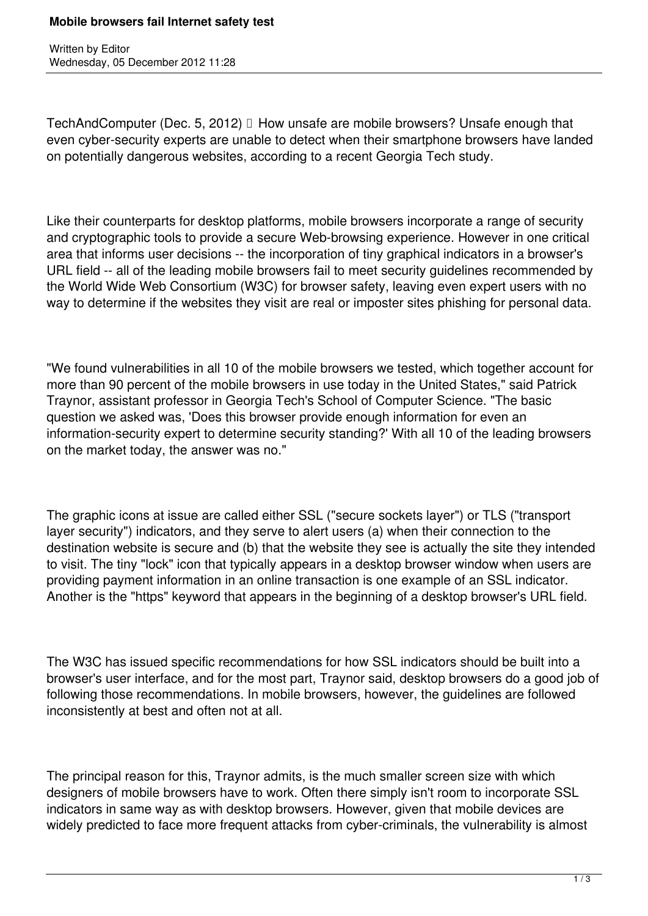Written by Editor Wednesday, 05 December 2012 11:28

TechAndComputer (Dec. 5, 2012) How unsafe are mobile browsers? Unsafe enough that even cyber-security experts are unable to detect when their smartphone browsers have landed on potentially dangerous websites, according to a recent Georgia Tech study.

Like their counterparts for desktop platforms, mobile browsers incorporate a range of security and cryptographic tools to provide a secure Web-browsing experience. However in one critical area that informs user decisions -- the incorporation of tiny graphical indicators in a browser's URL field -- all of the leading mobile browsers fail to meet security guidelines recommended by the World Wide Web Consortium (W3C) for browser safety, leaving even expert users with no way to determine if the websites they visit are real or imposter sites phishing for personal data.

"We found vulnerabilities in all 10 of the mobile browsers we tested, which together account for more than 90 percent of the mobile browsers in use today in the United States," said Patrick Traynor, assistant professor in Georgia Tech's School of Computer Science. "The basic question we asked was, 'Does this browser provide enough information for even an information-security expert to determine security standing?' With all 10 of the leading browsers on the market today, the answer was no."

The graphic icons at issue are called either SSL ("secure sockets layer") or TLS ("transport layer security") indicators, and they serve to alert users (a) when their connection to the destination website is secure and (b) that the website they see is actually the site they intended to visit. The tiny "lock" icon that typically appears in a desktop browser window when users are providing payment information in an online transaction is one example of an SSL indicator. Another is the "https" keyword that appears in the beginning of a desktop browser's URL field.

The W3C has issued specific recommendations for how SSL indicators should be built into a browser's user interface, and for the most part, Traynor said, desktop browsers do a good job of following those recommendations. In mobile browsers, however, the guidelines are followed inconsistently at best and often not at all.

The principal reason for this, Traynor admits, is the much smaller screen size with which designers of mobile browsers have to work. Often there simply isn't room to incorporate SSL indicators in same way as with desktop browsers. However, given that mobile devices are widely predicted to face more frequent attacks from cyber-criminals, the vulnerability is almost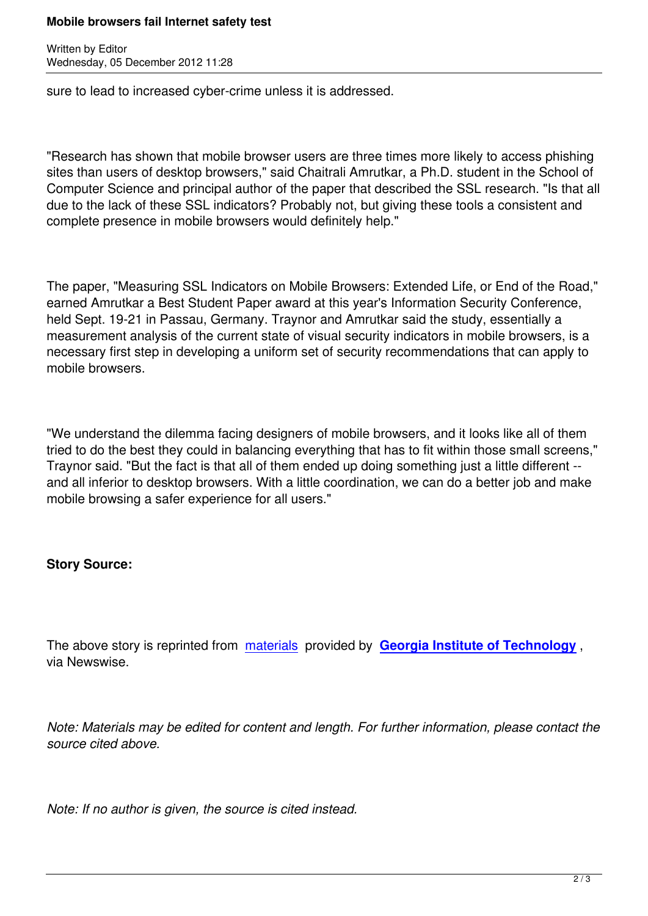Written by Editor and Editor and Editor and Editor and Editor and Editor and Editor and Editor and Editor and

sure to lead to increased cyber-crime unless it is addressed.

"Research has shown that mobile browser users are three times more likely to access phishing sites than users of desktop browsers," said Chaitrali Amrutkar, a Ph.D. student in the School of Computer Science and principal author of the paper that described the SSL research. "Is that all due to the lack of these SSL indicators? Probably not, but giving these tools a consistent and complete presence in mobile browsers would definitely help."

The paper, "Measuring SSL Indicators on Mobile Browsers: Extended Life, or End of the Road," earned Amrutkar a Best Student Paper award at this year's Information Security Conference, held Sept. 19-21 in Passau, Germany. Traynor and Amrutkar said the study, essentially a measurement analysis of the current state of visual security indicators in mobile browsers, is a necessary first step in developing a uniform set of security recommendations that can apply to mobile browsers.

"We understand the dilemma facing designers of mobile browsers, and it looks like all of them tried to do the best they could in balancing everything that has to fit within those small screens," Traynor said. "But the fact is that all of them ended up doing something just a little different - and all inferior to desktop browsers. With a little coordination, we can do a better job and make mobile browsing a safer experience for all users."

## **Story Source:**

The above story is reprinted from materials provided by **Georgia Institute of Technology** , via Newswise.

*Note: Materials may be edited for content and length. For further information, please contact the source cited above.*

*Note: If no author is given, the source is cited instead.*